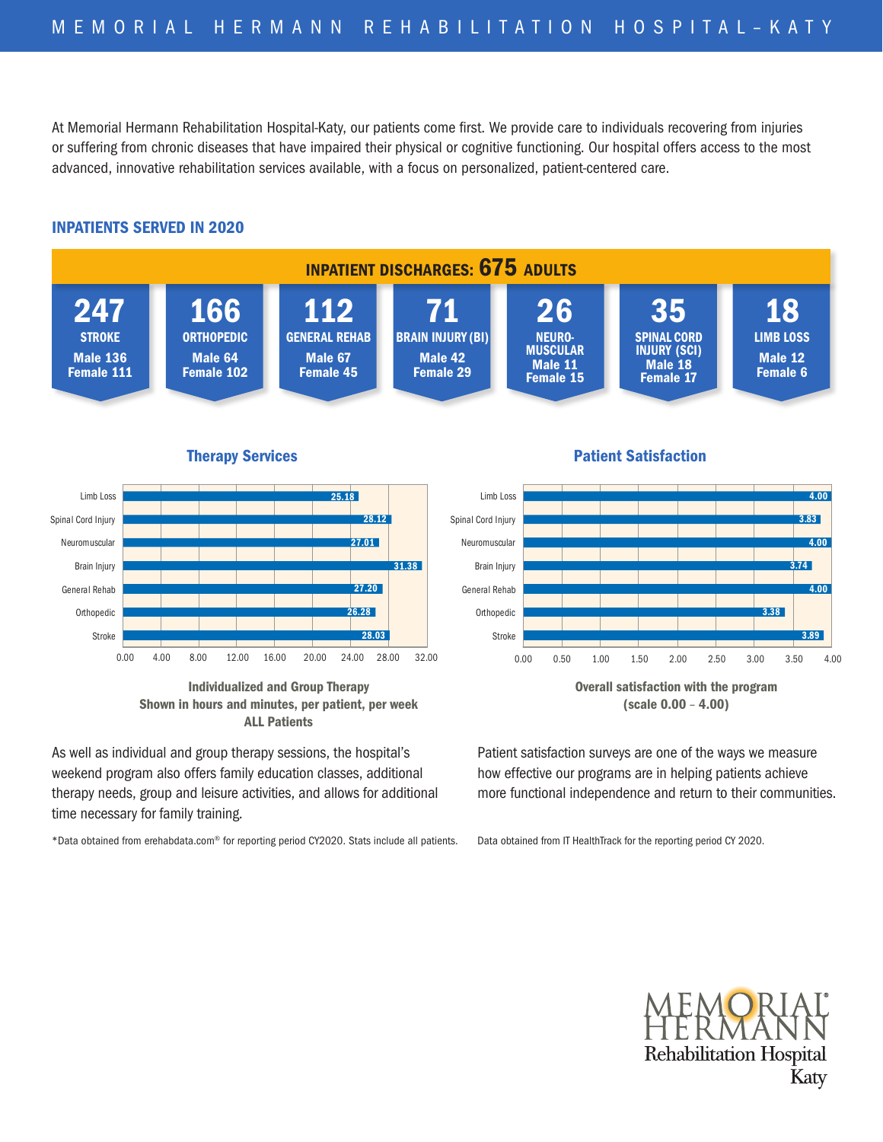At Memorial Hermann Rehabilitation Hospital-Katy, our patients come first. We provide care to individuals recovering from injuries or suffering from chronic diseases that have impaired their physical or cognitive functioning. Our hospital offers access to the most advanced, innovative rehabilitation services available, with a focus on personalized, patient-centered care.

## INPATIENTS SERVED IN 2020



Therapy Services



Individualized and Group Therapy Shown in hours and minutes, per patient, per week ALL Patients

As well as individual and group therapy sessions, the hospital's weekend program also offers family education classes, additional therapy needs, group and leisure activities, and allows for additional time necessary for family training.

\*Data obtained from erehabdata.com® for reporting period CY2020. Stats include all patients.

## Therapy Services Patient Satisfaction Patient Satisfaction



Overall satisfaction with the program (scale 0.00 – 4.00)

Patient satisfaction surveys are one of the ways we measure how effective our programs are in helping patients achieve more functional independence and return to their communities.

Data obtained from IT HealthTrack for the reporting period CY 2020.